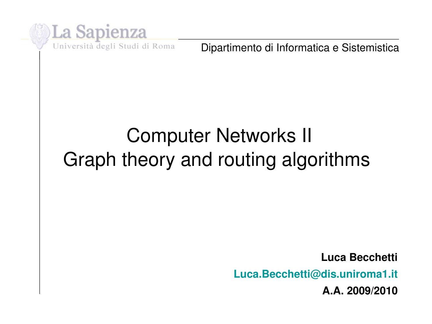

Dipartimento di Informatica e Sistemistica

## Computer Networks II Graph theory and routing algorithms

**Luca Becchetti Luca.Becchetti@dis.uniroma1.it A.A. 2009/2010**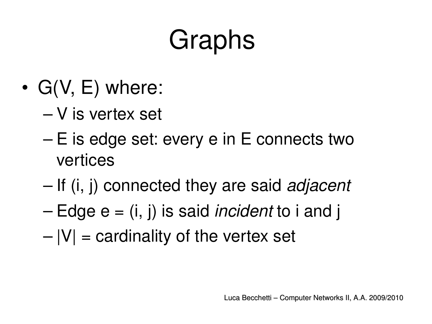# Graphs

- $G(V, E)$  where:
	- V is vertex set
	- E is edge set: every e in E connects two vertices
	- If (i, j) connected they are said *adjacent*
	- Edge e = (i, j) is said *incident* to i and j
	- $|V|$  = cardinality of the vertex set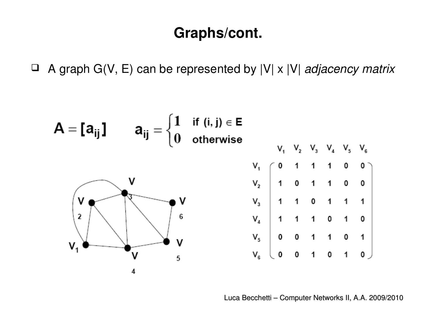### **Graphs/cont.**

A graph G(V, E) can be represented by |V| x |V| *adjacency matrix*

I

$$
A = [a_{ij}] \t a_{ij} = \begin{cases} 1 & \text{if } (i, j) \in E \\ 0 & \text{otherwise} \end{cases}
$$
  

$$
\begin{array}{c|cccc}\nV_1 & V_2 & V_3 & V_4 & V_5 & V_6 \\
V_1 & V_2 & V_3 & V_4 & V_5 & V_6 \\
V_2 & V_3 & V_4 & V_5 & V_6 \\
V_4 & 1 & 1 & 0 & 1 & 1 & 1 \\
V_5 & V_6 & V_8 & 0 & 0 & 1 & 1 & 0 & 1 \\
V_6 & V_7 & V_8 & 0 & 0 & 1 & 1 & 0 & 1 \\
V_9 & V_9 & V_9 & V_8 & 0 & 0 & 1 & 1 & 0 & 1 \\
V_1 & V_9 & V_9 & V_9 & V_9 & 0 & 0 & 1 & 1 & 0 & 1 \\
V_1 & V_1 & V_2 & V_9 & V_9 & 0 & 0 & 1 & 1 & 0 & 1 \\
V_1 & V_1 & V_2 & V_9 & V_9 & 0 & 0 & 1 & 1 & 0 & 1 \\
V_1 & V_1 & V_2 & V_9 & V_9 & 0 & 0 & 1 & 0 & 1 & 0 \\
V_1 & V_1 & V_2 & V_3 & V_9 & V_9 & 0 & 0 & 1 & 0 & 1 & 0 \\
V_1 & V_1 & V_2 & V_3 & V_9 & V_9 & 0 & 0 & 1 & 0 & 1 & 0 \\
V_1 & V_1 & V_2 & V_3 & V_9 & V_9 & 0 & 0 & 1 & 0 & 1 & 0 \\
V_1 & V_1 & V_2 & V_3 & V_9 & V_9 & 0 & 0 & 1 & 0 & 1 & 0 \\
V_1 & V_1 & V_2 & V_3 & V_9 & V_9 & 0 & 0 & 1 & 0 & 1 & 0 \\
V_1 & V_1 & V_2 & V_3 & V_9 & V_9 & 0 & 0 & 1 & 0 & 1 & 0 \\
V_1 & V_1 & V_2 & V_3 & V_9 & V_9 & 0 & 0 & 1 & 0 & 1 & 0 \\
V_1 & V_1 & V_1 & V_2 & V_3 & V_9 & 0 & 0 & 1 & 0 & 1 & 0 \\
V_1 & V_1 & V_1 & V_2 & V_3 &
$$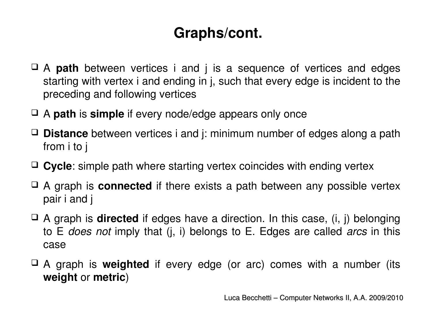## **Graphs/cont.**

- A **path** between vertices i and j is a sequence of vertices and edges starting with vertex i and ending in j, such that every edge is incident to the preceding and following vertices
- A **path** is **simple** if every node/edge appears only once
- **Distance** between vertices i and j: minimum number of edges along a path from i to j
- **Cycle**: simple path where starting vertex coincides with ending vertex
- A graph is **connected** if there exists a path between any possible vertex pair i and j
- A graph is **directed** if edges have a direction. In this case, (i, j) belonging to E *does not* imply that (j, i) belongs to E. Edges are called *arcs* in this case
- A graph is **weighted**  if every edge (or arc) comes with a number (its **weight** or **metric**)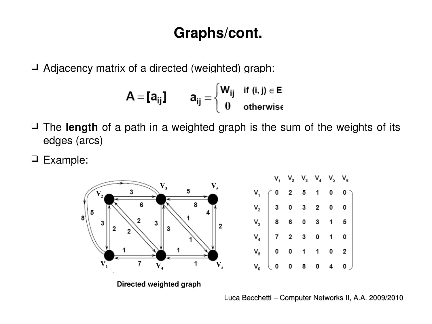### **Graphs/cont.**

 $\Box$  Adjacency matrix of a directed (weighted) graph:

$$
A = [a_{ij}] \qquad a_{ij} = \begin{cases} W_{ij} & \text{if } (i, j) \in E \\ 0 & \text{otherwise} \end{cases}
$$

- □ The **length** of a path in a weighted graph is the sum of the weights of its edges (arcs)
- Example:

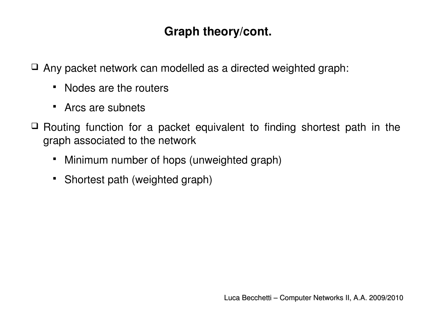#### **Graph theory/cont.**

 $\Box$  Any packet network can modelled as a directed weighted graph:

- Nodes are the routers
- Arcs are subnets
- $\Box$  Routing function for a packet equivalent to finding shortest path in the graph associated to the network
	- Minimum number of hops (unweighted graph)
	- Shortest path (weighted graph)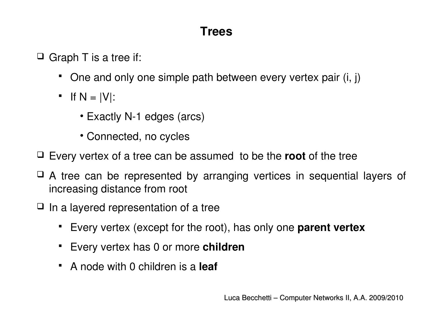#### **Trees**

 $\Box$  Graph T is a tree if:

- One and only one simple path between every vertex pair (i, j)
- $\blacksquare$  If N = |V|:
	- Exactly N-1 edges (arcs)
	- Connected, no cycles
- Every vertex of a tree can be assumed to be the **root** of the tree
- A tree can be represented by arranging vertices in sequential layers of increasing distance from root
- $\Box$  In a layered representation of a tree
	- Every vertex (except for the root), has only one **parent vertex**
	- Every vertex has 0 or more **children**
	- A node with 0 children is a **leaf**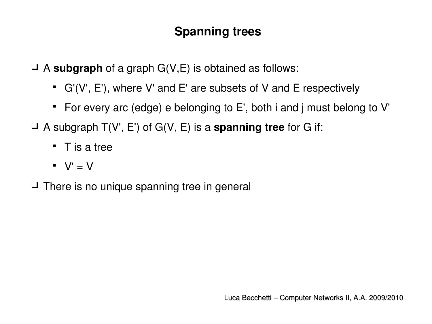#### **Spanning trees**

A **subgraph** of a graph G(V,E) is obtained as follows:

- G'(V', E'), where V' and E' are subsets of V and E respectively
- For every arc (edge) e belonging to E', both i and j must belong to V'
- A subgraph T(V', E') of G(V, E) is a **spanning tree** for G if:
	- $\blacksquare$  T is a tree
	- $\blacksquare$  V'  $=$  V
- $\Box$  There is no unique spanning tree in general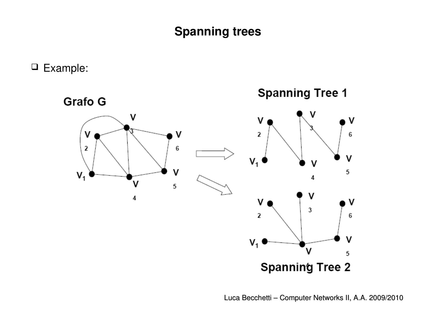#### **Spanning trees**

Example:

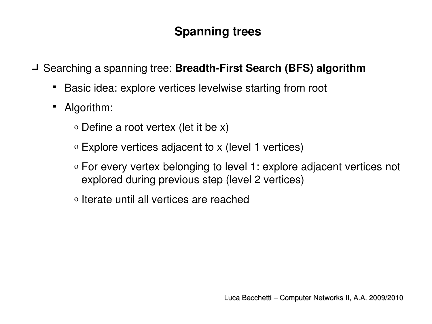#### **Spanning trees**

□ Searching a spanning tree: **Breadth-First Search (BFS) algorithm** 

- Basic idea: explore vertices levelwise starting from root
- Algorithm:
	- o Define a root vertex (let it be x)
	- o Explore vertices adjacent to x (level 1 vertices)
	- o For every vertex belonging to level 1: explore adjacent vertices not explored during previous step (level 2 vertices)
	- o Iterate until all vertices are reached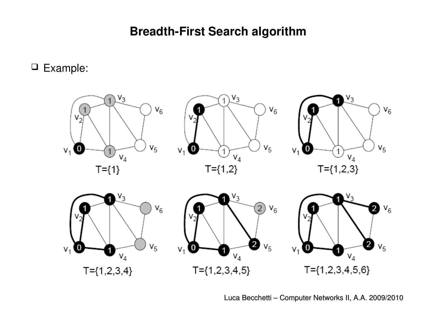#### **Breadth-First Search algorithm**

Example:

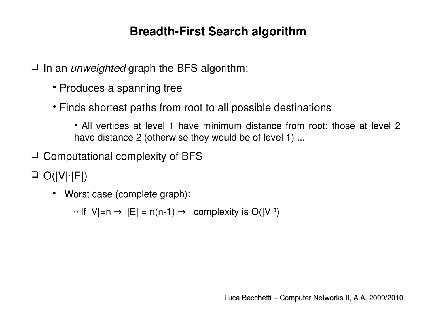#### **Breadth-First Search algorithm**

In an *unweighted* graph the BFS algorithm:

- Produces a spanning tree
- Finds shortest paths from root to all possible destinations
	- All vertices at level 1 have minimum distance from root; those at level 2 have distance 2 (otherwise they would be of level 1) ...
- $\Box$  Computational complexity of BFS

O(|V|∙|E|)

Worst case (complete graph):

 $\circ$  If  $|V|=n$  →  $|E|=n(n-1)$  → complexity is  $O(|V|^3)$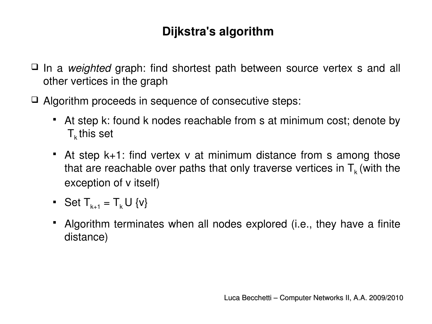- □ In a *weighted* graph: find shortest path between source vertex s and all other vertices in the graph
- Algorithm proceeds in sequence of consecutive steps:
	- At step k: found k nodes reachable from s at minimum cost; denote by  $T_k$  this set
	- At step k+1: find vertex v at minimum distance from s among those that are reachable over paths that only traverse vertices in  $T_k$  (with the exception of v itself)
	- Set  $T_{k+1} = T_k U$  {v}
	- Algorithm terminates when all nodes explored (i.e., they have a finite distance)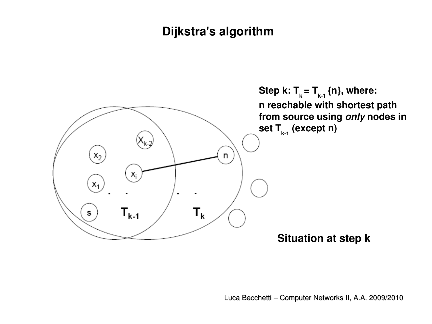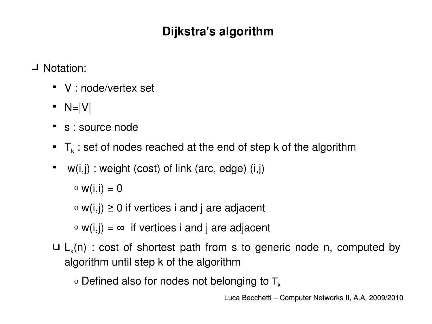□ Notation:

- V : node/vertex set
- $\blacksquare$  N=|V|
- s : source node
- $\blacksquare$  T<sub>k</sub> : set of nodes reached at the end of step k of the algorithm
- w(i,j) : weight (cost) of link (arc, edge) (i,j)

 $\circ$  w(i,i) = 0

 $\circ$  w(i,j)  $\geq$  0 if vertices i and j are adjacent

 $\circ$  w(i,j) =  $\infty$  if vertices i and j are adjacent

 $\Box$  L<sub>k</sub>(n) : cost of shortest path from s to generic node n, computed by algorithm until step k of the algorithm

 $\circ$  Defined also for nodes not belonging to  $T_{k}$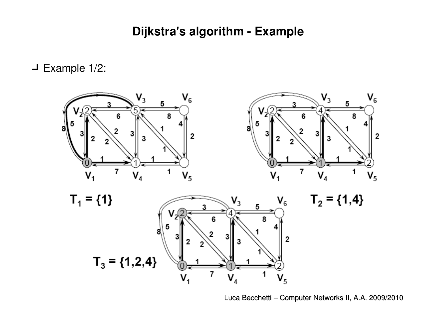#### **Dijkstra's algorithm Example**

 $\Box$  Example 1/2:

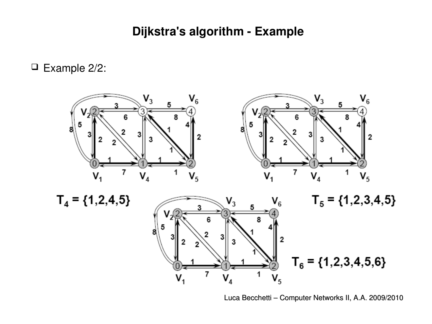#### **Dijkstra's algorithm Example**

 $\square$  Example 2/2:

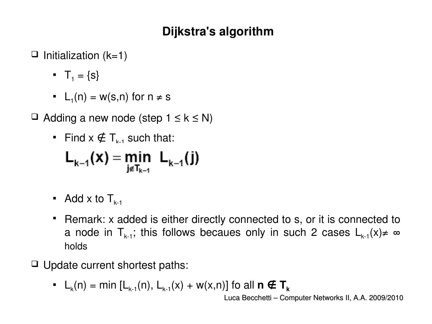- $\Box$  Initialization (k=1)
	- $\blacksquare$  T<sub>1</sub> = {s}
	- L<sub>1</sub>(n) = w(s,n) for  $n \neq s$
- $\Box$  Adding a new node (step  $1 \leq k \leq N$ )
	- Find  $x \notin T_{k+1}$  such that:

$$
L_{k-1}(x) = \min_{j \notin T_{k-1}} L_{k-1}(j)
$$

- Add x to  $T_{k-1}$
- Remark: x added is either directly connected to s, or it is connected to a node in  $T_{k-1}$ ; this follows becaues only in such 2 cases  $L_{k-1}(x) \neq \infty$ holds
- $\Box$  Update current shortest paths:
	- $L_k(n) = \min [L_{k-1}(n), L_{k-1}(x) + w(x,n)]$  fo all  $n \notin T_k$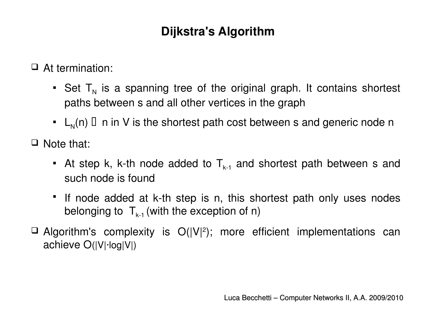□ At termination:

- **•** Set  $T_N$  is a spanning tree of the original graph. It contains shortest paths between s and all other vertices in the graph
- $\blacksquare$  L<sub>N</sub>(n)  $\Box$  n in V is the shortest path cost between s and generic node n

 $\Box$  Note that:

- At step k, k-th node added to  $T_{k-1}$  and shortest path between s and such node is found
- If node added at k-th step is n, this shortest path only uses nodes belonging to  $T_{k-1}$  (with the exception of n)
- $\Box$  Algorithm's complexity is  $O(|V|^2)$ ; more efficient implementations can achieve O(|V|∙log|V|)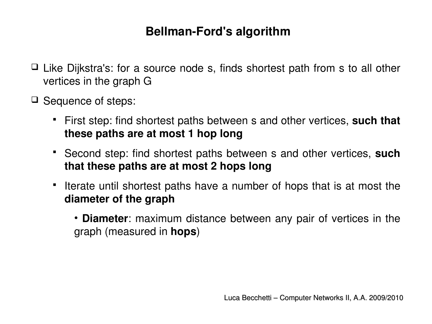#### **Bellman-Ford's algorithm**

- $\Box$  Like Dijkstra's: for a source node s, finds shortest path from s to all other vertices in the graph G
- $\Box$  Sequence of steps:
	- First step: find shortest paths between s and other vertices, **such that these paths are at most 1 hop long**
	- Second step: find shortest paths between s and other vertices, **such that these paths are at most 2 hops long**
	- If Iterate until shortest paths have a number of hops that is at most the **diameter of the graph**
		- **Diameter**: maximum distance between any pair of vertices in the graph (measured in **hops**)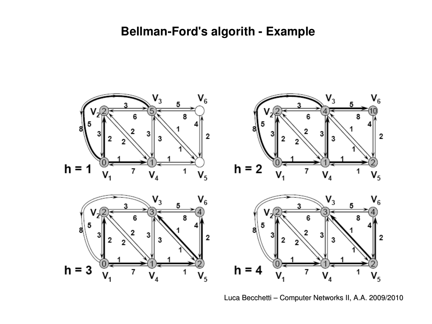#### **Bellman-Ford's algorith - Example**



Luca Becchetti – Computer Networks II, A.A. 2009/2010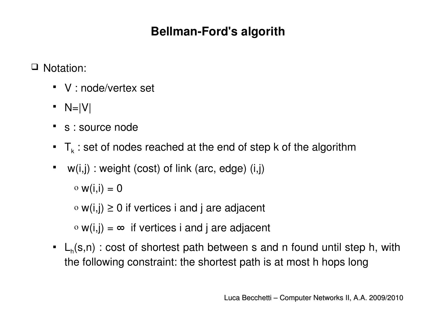#### **Bellman-Ford's algorith**

□ Notation:

- V : node/vertex set
- $\blacksquare$  N=|V|
- s : source node
- $\blacksquare$  T<sub>k</sub> : set of nodes reached at the end of step k of the algorithm
- w(i,j) : weight (cost) of link (arc, edge) (i,j)

 $\circ$  w(i,i) = 0

 $\circ$  w(i,j)  $\geq$  0 if vertices i and j are adjacent

 $\circ$  w(i,j) =  $\infty$  if vertices i and j are adjacent

 $\blacksquare$  L<sub>h</sub>(s,n) : cost of shortest path between s and n found until step h, with the following constraint: the shortest path is at most h hops long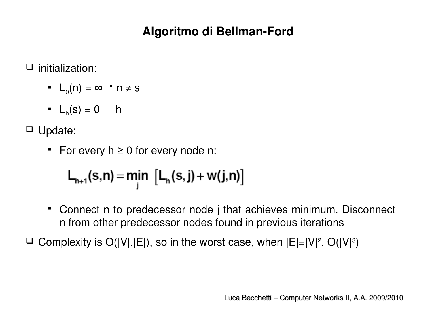#### **Algoritmo di Bellman-Ford**

 $\Box$  initialization:

- $\blacksquare$   $L_0(n) = \infty$   $\blacksquare$   $n \neq s$
- $L_n(s) = 0$  h

Update:

For every  $h \geq 0$  for every node n:

$$
L_{h+1}(s,n) = \underset{j}{\text{min}} \left[ L_h(s,j) + w(j,n) \right]
$$

 Connect n to predecessor node j that achieves minimum. Disconnect n from other predecessor nodes found in previous iterations

 $\Box$  Complexity is O(|V|.|E|), so in the worst case, when  $|E|=|V|^2$ , O(|V|<sup>3</sup>)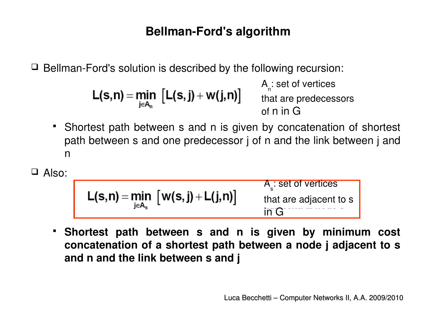#### **Bellman-Ford's algorithm**

 $\Box$  Bellman-Ford's solution is described by the following recursion:

$$
L(s,n) = \min_{j \in A_n} [L(s,j) + w(j,n)]
$$

A n : set of vertices that are predecessors of n in G

- Shortest path between s and n is given by concatenation of shortest path between s and one predecessor j of n and the link between j and n
- Also:

$$
L(s,n) = \min_{j \in A_s} [w(s,j) + L(j,n)]
$$
  
A<sub>s</sub>: set of vertices  
that are adjacent to s  
in G

 **Shortest path between s and n is given by minimum cost concatenation of a shortest path between a node j adjacent to s and n and the link between s and j**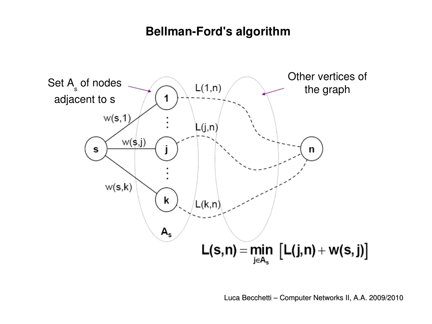#### **Bellman-Ford's algorithm**

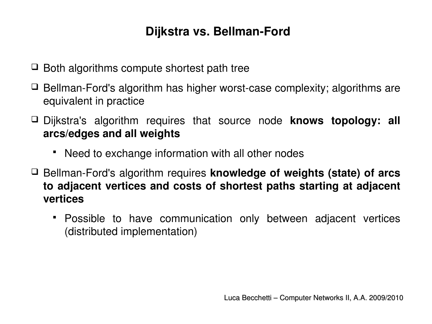#### **Dijkstra vs. Bellman-Ford**

- $\Box$  Both algorithms compute shortest path tree
- $\Box$  Bellman-Ford's algorithm has higher worst-case complexity; algorithms are equivalent in practice
- Dijkstra's algorithm requires that source node **knows topology: all arcs/edges and all weights**
	- Need to exchange information with all other nodes
- □ Bellman-Ford's algorithm requires **knowledge of weights (state) of arcs to adjacent vertices and costs of shortest paths starting at adjacent vertices**
	- Possible to have communication only between adjacent vertices (distributed implementation)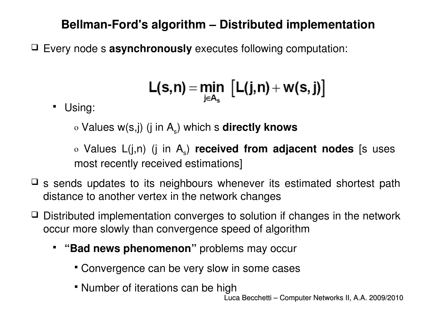#### **BellmanFord's algorithm – Distributed implementation**

Every node s **asynchronously** executes following computation:

$$
L(s,n) = \underset{j \in A_s}{min} \left[L(j,n) + w(s,j)\right]
$$

Using:

o Values w(s,j) (j in A<sub>s</sub>) which s **directly knows** 

o Values L(j,n) (j in A<sub>s</sub>) **received from adjacent nodes** [s uses most recently received estimations]

- $\Box$  s sends updates to its neighbours whenever its estimated shortest path distance to another vertex in the network changes
- $\Box$  Distributed implementation converges to solution if changes in the network occur more slowly than convergence speed of algorithm
	- **"Bad news phenomenon"** problems may occur
		- Convergence can be very slow in some cases
		- Number of iterations can be high